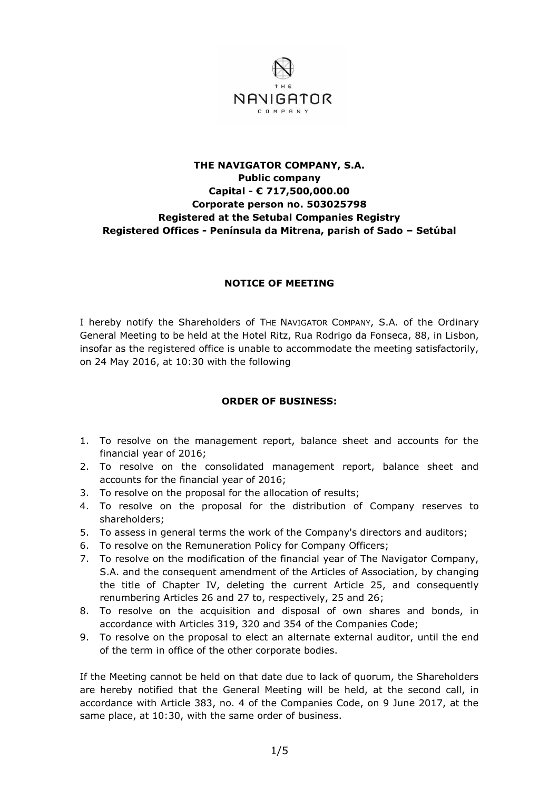

## **THE NAVIGATOR COMPANY, S.A. Public company Capital - € 717,500,000.00 Corporate person no. 503025798 Registered at the Setubal Companies Registry Registered Offices - Península da Mitrena, parish of Sado – Setúbal**

## **NOTICE OF MEETING**

I hereby notify the Shareholders of THE NAVIGATOR COMPANY, S.A. of the Ordinary General Meeting to be held at the Hotel Ritz, Rua Rodrigo da Fonseca, 88, in Lisbon, insofar as the registered office is unable to accommodate the meeting satisfactorily, on 24 May 2016, at 10:30 with the following

## **ORDER OF BUSINESS:**

- 1. To resolve on the management report, balance sheet and accounts for the financial year of 2016;
- 2. To resolve on the consolidated management report, balance sheet and accounts for the financial year of 2016;
- 3. To resolve on the proposal for the allocation of results;
- 4. To resolve on the proposal for the distribution of Company reserves to shareholders;
- 5. To assess in general terms the work of the Company's directors and auditors;
- 6. To resolve on the Remuneration Policy for Company Officers;
- 7. To resolve on the modification of the financial year of The Navigator Company, S.A. and the consequent amendment of the Articles of Association, by changing the title of Chapter IV, deleting the current Article 25, and consequently renumbering Articles 26 and 27 to, respectively, 25 and 26;
- 8. To resolve on the acquisition and disposal of own shares and bonds, in accordance with Articles 319, 320 and 354 of the Companies Code;
- 9. To resolve on the proposal to elect an alternate external auditor, until the end of the term in office of the other corporate bodies.

If the Meeting cannot be held on that date due to lack of quorum, the Shareholders are hereby notified that the General Meeting will be held, at the second call, in accordance with Article 383, no. 4 of the Companies Code, on 9 June 2017, at the same place, at 10:30, with the same order of business.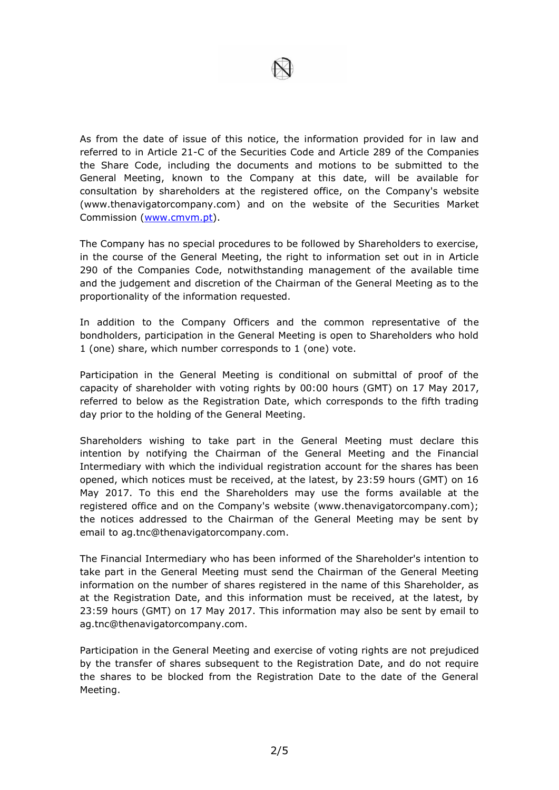

As from the date of issue of this notice, the information provided for in law and referred to in Article 21-C of the Securities Code and Article 289 of the Companies the Share Code, including the documents and motions to be submitted to the General Meeting, known to the Company at this date, will be available for consultation by shareholders at the registered office, on the Company's website (www.thenavigatorcompany.com) and on the website of the Securities Market Commission [\(www.cmvm.pt\)](http://www.cmvm.pt/).

The Company has no special procedures to be followed by Shareholders to exercise, in the course of the General Meeting, the right to information set out in in Article 290 of the Companies Code, notwithstanding management of the available time and the judgement and discretion of the Chairman of the General Meeting as to the proportionality of the information requested.

In addition to the Company Officers and the common representative of the bondholders, participation in the General Meeting is open to Shareholders who hold 1 (one) share, which number corresponds to 1 (one) vote.

Participation in the General Meeting is conditional on submittal of proof of the capacity of shareholder with voting rights by 00:00 hours (GMT) on 17 May 2017, referred to below as the Registration Date, which corresponds to the fifth trading day prior to the holding of the General Meeting.

Shareholders wishing to take part in the General Meeting must declare this intention by notifying the Chairman of the General Meeting and the Financial Intermediary with which the individual registration account for the shares has been opened, which notices must be received, at the latest, by 23:59 hours (GMT) on 16 May 2017. To this end the Shareholders may use the forms available at the registered office and on the Company's website (www.thenavigatorcompany.com); the notices addressed to the Chairman of the General Meeting may be sent by email to ag.tnc@thenavigatorcompany.com.

The Financial Intermediary who has been informed of the Shareholder's intention to take part in the General Meeting must send the Chairman of the General Meeting information on the number of shares registered in the name of this Shareholder, as at the Registration Date, and this information must be received, at the latest, by 23:59 hours (GMT) on 17 May 2017. This information may also be sent by email to ag.tnc@thenavigatorcompany.com.

Participation in the General Meeting and exercise of voting rights are not prejudiced by the transfer of shares subsequent to the Registration Date, and do not require the shares to be blocked from the Registration Date to the date of the General Meeting.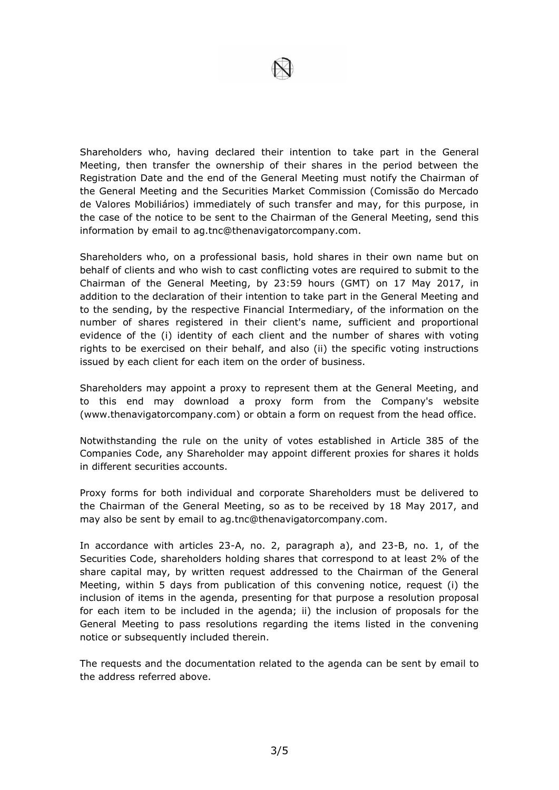Shareholders who, having declared their intention to take part in the General Meeting, then transfer the ownership of their shares in the period between the Registration Date and the end of the General Meeting must notify the Chairman of the General Meeting and the Securities Market Commission (Comissão do Mercado de Valores Mobiliários) immediately of such transfer and may, for this purpose, in the case of the notice to be sent to the Chairman of the General Meeting, send this information by email to ag.tnc@thenavigatorcompany.com.

Shareholders who, on a professional basis, hold shares in their own name but on behalf of clients and who wish to cast conflicting votes are required to submit to the Chairman of the General Meeting, by 23:59 hours (GMT) on 17 May 2017, in addition to the declaration of their intention to take part in the General Meeting and to the sending, by the respective Financial Intermediary, of the information on the number of shares registered in their client's name, sufficient and proportional evidence of the (i) identity of each client and the number of shares with voting rights to be exercised on their behalf, and also (ii) the specific voting instructions issued by each client for each item on the order of business.

Shareholders may appoint a proxy to represent them at the General Meeting, and to this end may download a proxy form from the Company's website (www.thenavigatorcompany.com) or obtain a form on request from the head office.

Notwithstanding the rule on the unity of votes established in Article 385 of the Companies Code, any Shareholder may appoint different proxies for shares it holds in different securities accounts.

Proxy forms for both individual and corporate Shareholders must be delivered to the Chairman of the General Meeting, so as to be received by 18 May 2017, and may also be sent by email to ag.tnc@thenavigatorcompany.com.

In accordance with articles 23-A, no. 2, paragraph a), and 23-B, no. 1, of the Securities Code, shareholders holding shares that correspond to at least 2% of the share capital may, by written request addressed to the Chairman of the General Meeting, within 5 days from publication of this convening notice, request (i) the inclusion of items in the agenda, presenting for that purpose a resolution proposal for each item to be included in the agenda; ii) the inclusion of proposals for the General Meeting to pass resolutions regarding the items listed in the convening notice or subsequently included therein.

The requests and the documentation related to the agenda can be sent by email to the address referred above.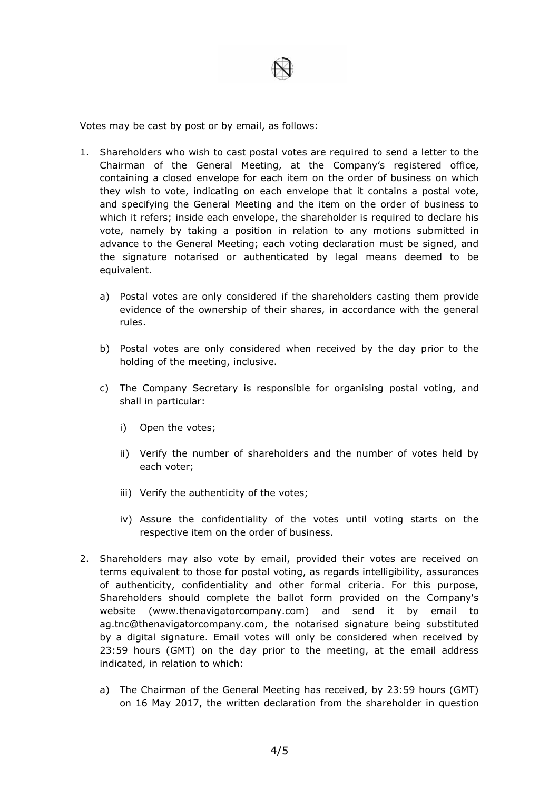

Votes may be cast by post or by email, as follows:

- 1. Shareholders who wish to cast postal votes are required to send a letter to the Chairman of the General Meeting, at the Company's registered office, containing a closed envelope for each item on the order of business on which they wish to vote, indicating on each envelope that it contains a postal vote, and specifying the General Meeting and the item on the order of business to which it refers; inside each envelope, the shareholder is required to declare his vote, namely by taking a position in relation to any motions submitted in advance to the General Meeting; each voting declaration must be signed, and the signature notarised or authenticated by legal means deemed to be equivalent.
	- a) Postal votes are only considered if the shareholders casting them provide evidence of the ownership of their shares, in accordance with the general rules.
	- b) Postal votes are only considered when received by the day prior to the holding of the meeting, inclusive.
	- c) The Company Secretary is responsible for organising postal voting, and shall in particular:
		- i) Open the votes;
		- ii) Verify the number of shareholders and the number of votes held by each voter;
		- iii) Verify the authenticity of the votes;
		- iv) Assure the confidentiality of the votes until voting starts on the respective item on the order of business.
- 2. Shareholders may also vote by email, provided their votes are received on terms equivalent to those for postal voting, as regards intelligibility, assurances of authenticity, confidentiality and other formal criteria. For this purpose, Shareholders should complete the ballot form provided on the Company's website (www.thenavigatorcompany.com) and send it by email to ag.tnc@thenavigatorcompany.com, the notarised signature being substituted by a digital signature. Email votes will only be considered when received by 23:59 hours (GMT) on the day prior to the meeting, at the email address indicated, in relation to which:
	- a) The Chairman of the General Meeting has received, by 23:59 hours (GMT) on 16 May 2017, the written declaration from the shareholder in question